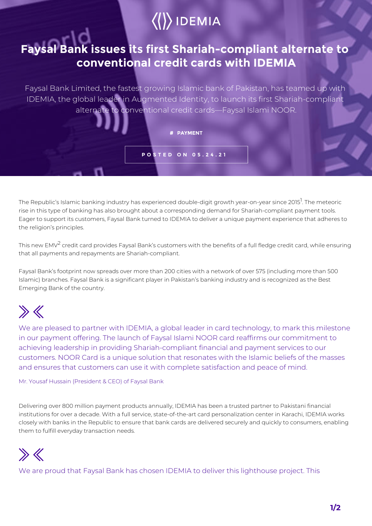## $\langle\langle\rangle\rangle$  IDEMIA

## **Faysal Bank issues its first Shariah-compliant alternate to conventional credit cards with IDEMIA**

Faysal Bank Limited, the fastest growing Islamic bank of Pakistan, has teamed up with IDEMIA, the global leader in Augmented Identity, to launch its first Shariah-compliant alternate to conventional credit cards—Faysal Islami NOOR.

## **# PAYMENT**

**POSTED ON 05.24.21**

The Republic's Islamic banking industry has experienced double-digit growth year-on-year since 2015<sup>1</sup>. The meteoric rise in this type of banking has also brought about a corresponding demand for Shariah-compliant payment tools. Eager to support its customers, Faysal Bank turned to IDEMIA to deliver a unique payment experience that adheres to the religion's principles.

This new EMV<sup>2</sup> credit card provides Faysal Bank's customers with the benefits of a full fledge credit card, while ensuring that all payments and repayments are Shariah-compliant.

Faysal Bank's footprint now spreads over more than 200 cities with a network of over 575 (including more than 500 Islamic) branches. Faysal Bank is a significant player in Pakistan's banking industry and is recognized as the Best Emerging Bank of the country.

## $\gg K$

We are pleased to partner with IDEMIA, a global leader in card technology, to mark this milestone in our payment offering. The launch of Faysal Islami NOOR card reaffirms our commitment to achieving leadership in providing Shariah-compliant financial and payment services to our customers. NOOR Card is a unique solution that resonates with the Islamic beliefs of the masses and ensures that customers can use it with complete satisfaction and peace of mind.

Mr. Yousaf Hussain (President & CEO) of Faysal Bank

Delivering over 800 million payment products annually, IDEMIA has been a trusted partner to Pakistani financial institutions for over a decade. With a full service, state-of-the-art card personalization center in Karachi, IDEMIA works closely with banks in the Republic to ensure that bank cards are delivered securely and quickly to consumers, enabling them to fulfill everyday transaction needs.



We are proud that Faysal Bank has chosen IDEMIA to deliver this lighthouse project. This